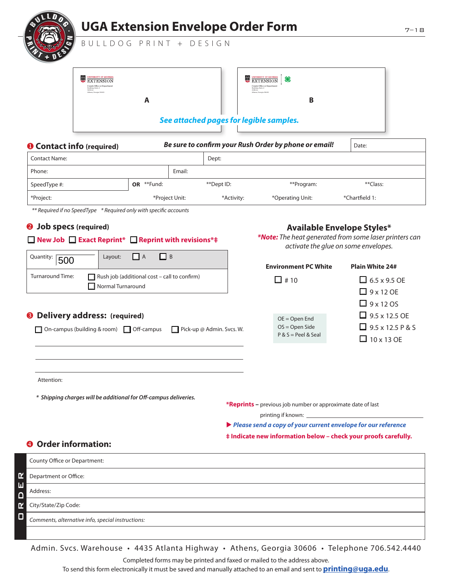

*Comments, alternative info, special instructions:*

Admin. Svcs. Warehouse • 4435 Atlanta Highway • Athens, Georgia 30606 • Telephone 706.542.4440

Completed forms may be printed and faxed or mailed to the address above.

To send this form electronically it must be saved and manually attached to an email and sent to **printing@uga.edu**.